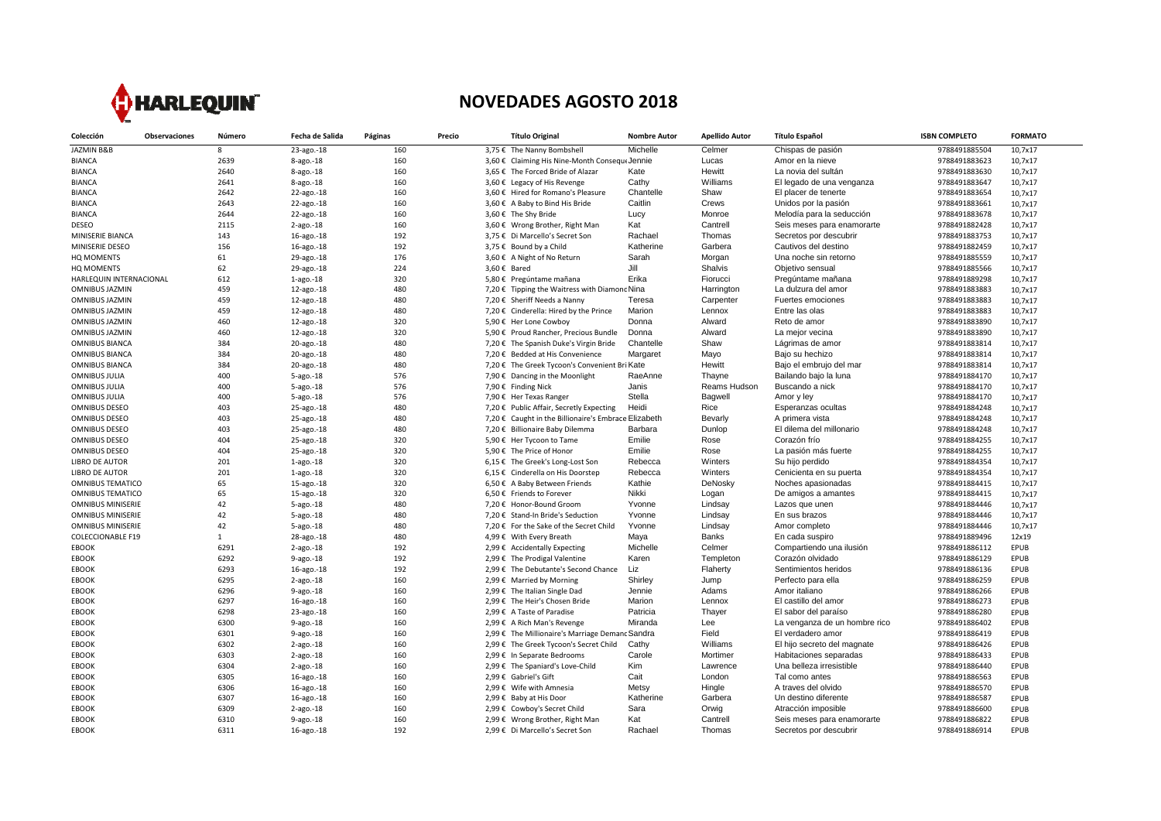

## **NOVEDADES AGOSTO 2018**

| Colección                | <b>Observaciones</b> | Número       | Fecha de Salida | Páginas | Precio |              | <b>Título Original</b>                               | <b>Nombre Autor</b> | <b>Apellido Autor</b> | <b>Título Español</b>         | <b>ISBN COMPLETO</b> | <b>FORMATO</b> |
|--------------------------|----------------------|--------------|-----------------|---------|--------|--------------|------------------------------------------------------|---------------------|-----------------------|-------------------------------|----------------------|----------------|
| JAZMIN B&B               |                      | 8            | 23-ago.-18      | 160     |        |              | 3,75 € The Nanny Bombshell                           | Michelle            | Celmer                | Chispas de pasión             | 9788491885504        | 10,7x17        |
| <b>BIANCA</b>            |                      | 2639         | 8-ago.-18       | 160     |        |              | 3,60 € Claiming His Nine-Month Consequ∈Jennie        |                     | Lucas                 | Amor en la nieve              | 9788491883623        | 10,7x17        |
| <b>BIANCA</b>            |                      | 2640         | 8-ago.-18       | 160     |        |              | 3,65 € The Forced Bride of Alazar                    | Kate                | Hewitt                | La novia del sultán           | 9788491883630        | 10,7x17        |
| <b>BIANCA</b>            |                      | 2641         | 8-ago.-18       | 160     |        |              | 3,60 € Legacy of His Revenge                         | Cathy               | Williams              | El legado de una venganza     | 9788491883647        | 10,7x17        |
| <b>BIANCA</b>            |                      | 2642         | 22-ago.-18      | 160     |        |              | 3,60 € Hired for Romano's Pleasure                   | Chantelle           | Shaw                  | El placer de tenerte          | 9788491883654        | 10,7x17        |
| <b>BIANCA</b>            |                      | 2643         | 22-ago.-18      | 160     |        |              | 3,60 € A Baby to Bind His Bride                      | Caitlin             | Crews                 | Unidos por la pasión          | 9788491883661        | 10,7x17        |
| <b>BIANCA</b>            |                      | 2644         | 22-ago.-18      | 160     |        |              | 3,60 € The Shy Bride                                 | Lucy                | Monroe                | Melodía para la seducción     | 9788491883678        | 10,7x17        |
| <b>DESEO</b>             |                      | 2115         | $2$ -ago.-18    | 160     |        |              | 3,60 € Wrong Brother, Right Man                      | Kat                 | Cantrell              | Seis meses para enamorarte    | 9788491882428        | 10,7x17        |
| MINISERIE BIANCA         |                      | 143          | 16-ago.-18      | 192     |        |              | 3,75 € Di Marcello's Secret Son                      | Rachael             | Thomas                | Secretos por descubrir        | 9788491883753        | 10,7x17        |
| MINISERIE DESEO          |                      | 156          | 16-ago.-18      | 192     |        |              | 3,75 € Bound by a Child                              | Katherine           | Garbera               | Cautivos del destino          | 9788491882459        | 10,7x17        |
| <b>HQ MOMENTS</b>        |                      | 61           | 29-ago.-18      | 176     |        |              | 3,60 € A Night of No Return                          | Sarah               | Morgan                | Una noche sin retorno         | 9788491885559        | 10,7x17        |
| <b>HQ MOMENTS</b>        |                      | 62           | 29-ago.-18      | 224     |        | 3,60 € Bared |                                                      | Jill                | Shalvis               | Objetivo sensual              | 9788491885566        | 10,7x17        |
| HARLEQUIN INTERNACIONAL  |                      | 612          | $1$ -ago.- $18$ | 320     |        |              | 5,80 € Pregúntame mañana                             | Erika               | Fiorucci              | Pregúntame mañana             | 9788491889298        | 10,7x17        |
| <b>OMNIBUS JAZMIN</b>    |                      | 459          | 12-ago.-18      | 480     |        |              | 7,20 € Tipping the Waitress with Diamonc Nina        |                     | Harrington            | La dulzura del amor           | 9788491883883        | 10,7x17        |
| <b>OMNIBUS JAZMIN</b>    |                      | 459          | 12-ago.-18      | 480     |        |              | 7,20 € Sheriff Needs a Nanny                         | Teresa              | Carpenter             | Fuertes emociones             | 9788491883883        | 10,7x17        |
| <b>OMNIBUS JAZMIN</b>    |                      | 459          | 12-ago.-18      | 480     |        |              | 7,20 € Cinderella: Hired by the Prince               | Marion              | Lennox                | Entre las olas                | 9788491883883        | 10,7x17        |
| <b>OMNIBUS JAZMIN</b>    |                      | 460          | 12-ago.-18      | 320     |        |              | 5,90 € Her Lone Cowboy                               | Donna               | Alward                | Reto de amor                  | 9788491883890        | 10,7x17        |
| <b>OMNIBUS JAZMIN</b>    |                      | 460          | 12-ago.-18      | 320     |        |              | 5,90 € Proud Rancher, Precious Bundle                | Donna               | Alward                | La mejor vecina               | 9788491883890        | 10,7x17        |
| <b>OMNIBUS BIANCA</b>    |                      | 384          | 20-ago.-18      | 480     |        |              | 7,20 € The Spanish Duke's Virgin Bride               | Chantelle           | Shaw                  | Lágrimas de amor              | 9788491883814        | 10,7x17        |
| <b>OMNIBUS BIANCA</b>    |                      | 384          | 20-ago.-18      | 480     |        |              | 7,20 € Bedded at His Convenience                     | Margaret            | Mayo                  | Bajo su hechizo               | 9788491883814        | 10,7x17        |
| <b>OMNIBUS BIANCA</b>    |                      | 384          | 20-ago.-18      | 480     |        |              | 7,20 € The Greek Tycoon's Convenient Bri Kate        |                     | Hewitt                | Bajo el embrujo del mar       | 9788491883814        | 10,7x17        |
| <b>OMNIBUS JULIA</b>     |                      | 400          | $5 - ago.-18$   | 576     |        |              | 7,90 € Dancing in the Moonlight                      | RaeAnne             | Thayne                | Bailando bajo la luna         | 9788491884170        | 10,7x17        |
| <b>OMNIBUS JULIA</b>     |                      | 400          | 5-ago.-18       | 576     |        |              | 7,90 € Finding Nick                                  | Janis               | Reams Hudson          | Buscando a nick               | 9788491884170        | 10,7x17        |
| <b>OMNIBUS JULIA</b>     |                      | 400          | 5-ago.-18       | 576     |        |              | 7,90 € Her Texas Ranger                              | Stella              | Bagwell               | Amor y ley                    | 9788491884170        | 10,7x17        |
| <b>OMNIBUS DESEO</b>     |                      | 403          | 25-ago.-18      | 480     |        |              | 7,20 € Public Affair, Secretly Expecting             | Heidi               | Rice                  | Esperanzas ocultas            | 9788491884248        | 10,7x17        |
| <b>OMNIBUS DESEO</b>     |                      | 403          | 25-ago.-18      | 480     |        |              | 7,20 € Caught in the Billionaire's Embrace Elizabeth |                     | Bevarly               | A primera vista               | 9788491884248        | 10,7x17        |
| <b>OMNIBUS DESEO</b>     |                      | 403          | 25-ago.-18      | 480     |        |              | 7,20 € Billionaire Baby Dilemma                      | Barbara             | Dunlop                | El dilema del millonario      | 9788491884248        | 10,7x17        |
| <b>OMNIBUS DESEO</b>     |                      | 404          | 25-ago.-18      | 320     |        |              | 5,90 € Her Tycoon to Tame                            | Emilie              | Rose                  | Corazón frío                  | 9788491884255        | 10,7x17        |
| <b>OMNIBUS DESEO</b>     |                      | 404          | 25-ago.-18      | 320     |        |              | 5,90 € The Price of Honor                            | Emilie              | Rose                  | La pasión más fuerte          | 9788491884255        | 10,7x17        |
| <b>LIBRO DE AUTOR</b>    |                      | 201          | $1$ -ago. $-18$ | 320     |        |              | 6,15 € The Greek's Long-Lost Son                     | Rebecca             | Winters               | Su hijo perdido               | 9788491884354        | 10,7x17        |
| <b>LIBRO DE AUTOR</b>    |                      | 201          | $1$ -ago. $-18$ | 320     |        |              | 6,15 € Cinderella on His Doorstep                    | Rebecca             | Winters               | Cenicienta en su puerta       | 9788491884354        | 10,7x17        |
| <b>OMNIBUS TEMATICO</b>  |                      | 65           | 15-ago.-18      | 320     |        |              | 6,50 € A Baby Between Friends                        | Kathie              | DeNosky               | Noches apasionadas            | 9788491884415        | 10,7x17        |
| <b>OMNIBUS TEMATICO</b>  |                      | 65           | 15-ago.-18      | 320     |        |              | 6,50 € Friends to Forever                            | Nikki               | Logan                 | De amigos a amantes           | 9788491884415        | 10,7x17        |
| <b>OMNIBUS MINISERIE</b> |                      | 42           | $5$ -ago. $-18$ | 480     |        |              | 7,20 € Honor-Bound Groom                             | Yvonne              | Lindsay               | Lazos que unen                | 9788491884446        | 10,7x17        |
| <b>OMNIBUS MINISERIE</b> |                      | 42           | 5-ago.-18       | 480     |        |              | 7,20 € Stand-In Bride's Seduction                    | Yvonne              | Lindsay               | En sus brazos                 | 9788491884446        | 10,7x17        |
| <b>OMNIBUS MINISERIE</b> |                      | 42           | $5$ -ago. $-18$ | 480     |        |              | 7,20 € For the Sake of the Secret Child              | Yvonne              | Lindsay               | Amor completo                 | 9788491884446        | 10.7x17        |
| <b>COLECCIONABLE F19</b> |                      | $\mathbf{1}$ | 28-ago.-18      | 480     |        |              | 4,99 € With Every Breath                             | Maya                | Banks                 | En cada suspiro               | 9788491889496        | 12x19          |
| EBOOK                    |                      | 6291         | $2 - ago. - 18$ | 192     |        |              | 2,99 € Accidentally Expecting                        | Michelle            | Celmer                | Compartiendo una ilusión      | 9788491886112        | EPUB           |
| EBOOK                    |                      | 6292         | $9$ -ago. $-18$ | 192     |        |              | 2,99 € The Prodigal Valentine                        | Karen               | Templeton             | Corazón olvidado              | 9788491886129        | EPUB           |
| EBOOK                    |                      | 6293         | 16-ago.-18      | 192     |        |              | 2,99 € The Debutante's Second Chance                 | Liz                 | Flaherty              | Sentimientos heridos          | 9788491886136        | EPUB           |
| EBOOK                    |                      | 6295         | $2 - ago. - 18$ | 160     |        |              | 2,99 € Married by Morning                            | Shirley             | Jump                  | Perfecto para ella            | 9788491886259        | EPUB           |
| <b>EBOOK</b>             |                      | 6296         | $9$ -ago. $-18$ | 160     |        |              | 2,99 € The Italian Single Dad                        | Jennie              | Adams                 | Amor italiano                 | 9788491886266        | EPUB           |
| EBOOK                    |                      | 6297         | 16-ago.-18      | 160     |        |              | 2,99 € The Heir's Chosen Bride                       | Marion              | Lennox                | El castillo del amor          | 9788491886273        | EPUB           |
| EBOOK                    |                      | 6298         | 23-ago.-18      | 160     |        |              | 2,99 € A Taste of Paradise                           | Patricia            | Thayer                | El sabor del paraíso          | 9788491886280        | EPUB           |
| EBOOK                    |                      | 6300         | $9$ -ago. $-18$ | 160     |        |              | 2,99 € A Rich Man's Revenge                          | Miranda             | Lee                   | La venganza de un hombre rico | 9788491886402        | EPUB           |
| EBOOK                    |                      | 6301         | $9$ -ago. $-18$ | 160     |        |              | 2,99 € The Millionaire's Marriage Demanc Sandra      |                     | Field                 | El verdadero amor             | 9788491886419        | EPUB           |
| EBOOK                    |                      | 6302         | $2 - ago. - 18$ | 160     |        |              | 2,99 € The Greek Tycoon's Secret Child               | Cathy               | Williams              | El hijo secreto del magnate   | 9788491886426        | EPUB           |
| <b>EBOOK</b>             |                      | 6303         | $2 - ago. - 18$ | 160     |        |              | 2,99 € In Separate Bedrooms                          | Carole              | Mortimer              | Habitaciones separadas        | 9788491886433        | EPUB           |
| EBOOK                    |                      | 6304         | $2 - ago. - 18$ | 160     |        |              | 2,99 € The Spaniard's Love-Child                     | Kim                 | Lawrence              | Una belleza irresistible      | 9788491886440        | EPUB           |
| EBOOK                    |                      | 6305         | 16-ago.-18      | 160     |        |              | 2,99 € Gabriel's Gift                                | Cait                | London                | Tal como antes                | 9788491886563        | EPUB           |
| EBOOK                    |                      | 6306         | 16-ago.-18      | 160     |        |              | 2,99 € Wife with Amnesia                             | Metsy               | Hingle                | A traves del olvido           | 9788491886570        | EPUB           |
| <b>EBOOK</b>             |                      | 6307         | 16-ago.-18      | 160     |        |              | 2,99 € Baby at His Door                              | Katherine           | Garbera               | Un destino diferente          | 9788491886587        | EPUB           |
| <b>EBOOK</b>             |                      | 6309         | $2 - ago. - 18$ | 160     |        |              | 2,99 € Cowboy's Secret Child                         | Sara                | Orwig                 | Atracción imposible           | 9788491886600        | EPUB           |
| <b>EBOOK</b>             |                      | 6310         | 9-ago.-18       | 160     |        |              | 2,99 € Wrong Brother, Right Man                      | Kat                 | Cantrell              | Seis meses para enamorarte    | 9788491886822        | EPUB           |
| <b>EBOOK</b>             |                      | 6311         | 16-ago.-18      | 192     |        |              | 2,99 € Di Marcello's Secret Son                      | Rachael             | Thomas                | Secretos por descubrir        | 9788491886914        | <b>EPUB</b>    |